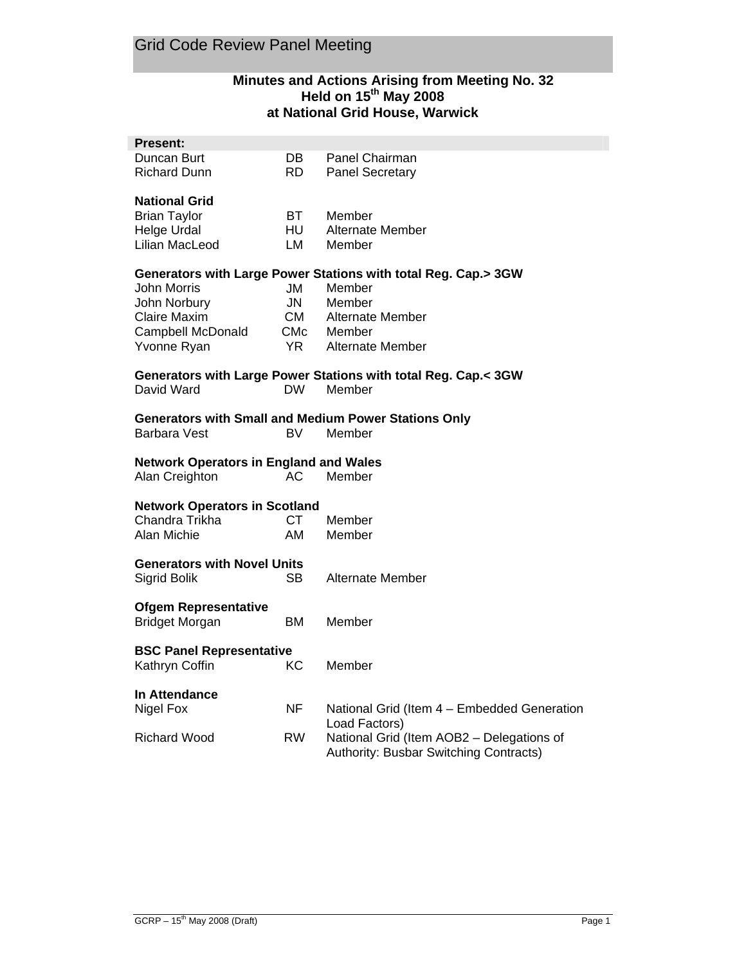# **Minutes and Actions Arising from Meeting No. 32 Held on 15th May 2008 at National Grid House, Warwick**

| Present:                                      |           |                                                                          |
|-----------------------------------------------|-----------|--------------------------------------------------------------------------|
| Duncan Burt                                   | DB.       | Panel Chairman                                                           |
| Richard Dunn                                  | RD.       | <b>Panel Secretary</b>                                                   |
|                                               |           |                                                                          |
| <b>National Grid</b><br><b>Brian Taylor</b>   | BT.       | Member                                                                   |
| Helge Urdal                                   | HU        | <b>Alternate Member</b>                                                  |
| Lilian MacLeod                                | LM        | Member                                                                   |
|                                               |           |                                                                          |
|                                               |           | Generators with Large Power Stations with total Reg. Cap.> 3GW           |
| John Morris                                   | JM        | Member                                                                   |
| John Norbury                                  | <b>JN</b> | Member                                                                   |
| Claire Maxim                                  | <b>CM</b> | <b>Alternate Member</b>                                                  |
| Campbell McDonald                             | CMc       | Member                                                                   |
| Yvonne Ryan                                   | <b>YR</b> | Alternate Member                                                         |
|                                               |           |                                                                          |
| David Ward                                    | DW.       | Generators with Large Power Stations with total Reg. Cap.< 3GW<br>Member |
|                                               |           |                                                                          |
|                                               |           | <b>Generators with Small and Medium Power Stations Only</b>              |
| Barbara Vest                                  | BV.       | Member                                                                   |
|                                               |           |                                                                          |
| <b>Network Operators in England and Wales</b> |           |                                                                          |
| Alan Creighton                                | АC        | Member                                                                   |
| <b>Network Operators in Scotland</b>          |           |                                                                          |
| Chandra Trikha                                | СT        | Member                                                                   |
| Alan Michie                                   | AM        | Member                                                                   |
|                                               |           |                                                                          |
| <b>Generators with Novel Units</b>            |           |                                                                          |
| Sigrid Bolik                                  | SB.       | Alternate Member                                                         |
|                                               |           |                                                                          |
| <b>Ofgem Representative</b><br>Bridget Morgan | BM.       | Member                                                                   |
|                                               |           |                                                                          |
| <b>BSC Panel Representative</b>               |           |                                                                          |
| Kathryn Coffin                                | КC        | Member                                                                   |
|                                               |           |                                                                          |
| In Attendance                                 |           |                                                                          |
| Nigel Fox                                     | <b>NF</b> | National Grid (Item 4 - Embedded Generation                              |
|                                               |           | Load Factors)                                                            |
| <b>Richard Wood</b>                           | <b>RW</b> | National Grid (Item AOB2 - Delegations of                                |
|                                               |           | Authority: Busbar Switching Contracts)                                   |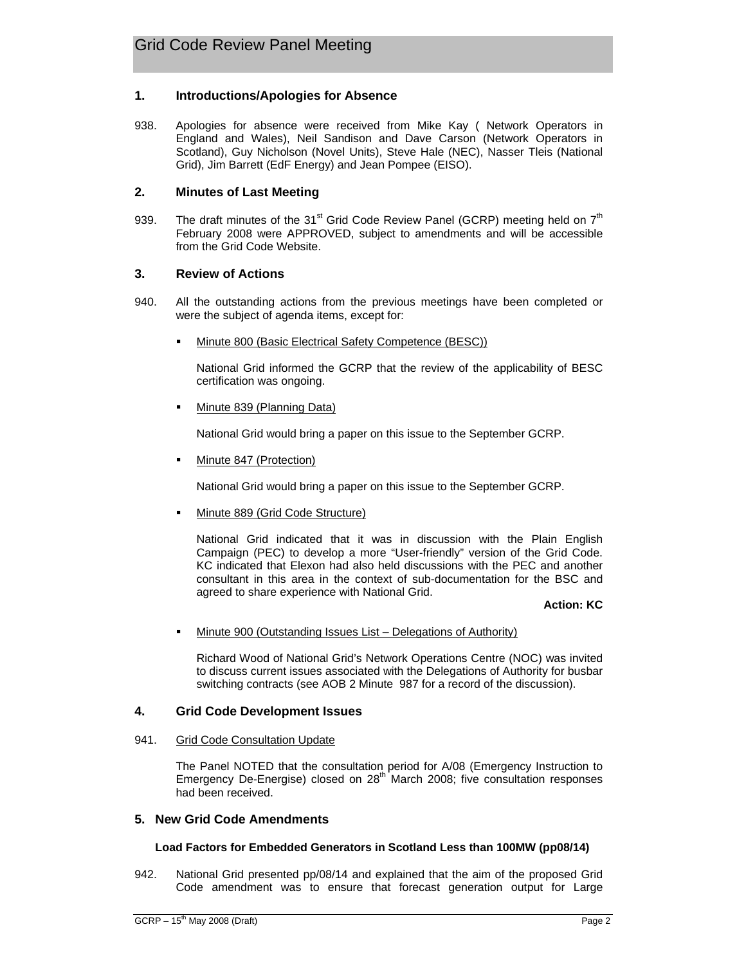## **1. Introductions/Apologies for Absence**

938. Apologies for absence were received from Mike Kay ( Network Operators in England and Wales), Neil Sandison and Dave Carson (Network Operators in Scotland), Guy Nicholson (Novel Units), Steve Hale (NEC), Nasser Tleis (National Grid), Jim Barrett (EdF Energy) and Jean Pompee (EISO).

## **2. Minutes of Last Meeting**

939. The draft minutes of the 31<sup>st</sup> Grid Code Review Panel (GCRP) meeting held on  $7<sup>th</sup>$ February 2008 were APPROVED, subject to amendments and will be accessible from the Grid Code Website.

## **3. Review of Actions**

- 940. All the outstanding actions from the previous meetings have been completed or were the subject of agenda items, except for:
	- Minute 800 (Basic Electrical Safety Competence (BESC))

National Grid informed the GCRP that the review of the applicability of BESC certification was ongoing.

Minute 839 (Planning Data)

National Grid would bring a paper on this issue to the September GCRP.

Minute 847 (Protection)

National Grid would bring a paper on this issue to the September GCRP.

Minute 889 (Grid Code Structure)

National Grid indicated that it was in discussion with the Plain English Campaign (PEC) to develop a more "User-friendly" version of the Grid Code. KC indicated that Elexon had also held discussions with the PEC and another consultant in this area in the context of sub-documentation for the BSC and agreed to share experience with National Grid.

### **Action: KC**

Minute 900 (Outstanding Issues List – Delegations of Authority)

Richard Wood of National Grid's Network Operations Centre (NOC) was invited to discuss current issues associated with the Delegations of Authority for busbar switching contracts (see AOB 2 Minute 987 for a record of the discussion).

## **4. Grid Code Development Issues**

#### 941. Grid Code Consultation Update

The Panel NOTED that the consultation period for A/08 (Emergency Instruction to Emergency De-Energise) closed on  $28<sup>th</sup>$  March 2008; five consultation responses had been received.

#### **5. New Grid Code Amendments**

#### **Load Factors for Embedded Generators in Scotland Less than 100MW (pp08/14)**

942. National Grid presented pp/08/14 and explained that the aim of the proposed Grid Code amendment was to ensure that forecast generation output for Large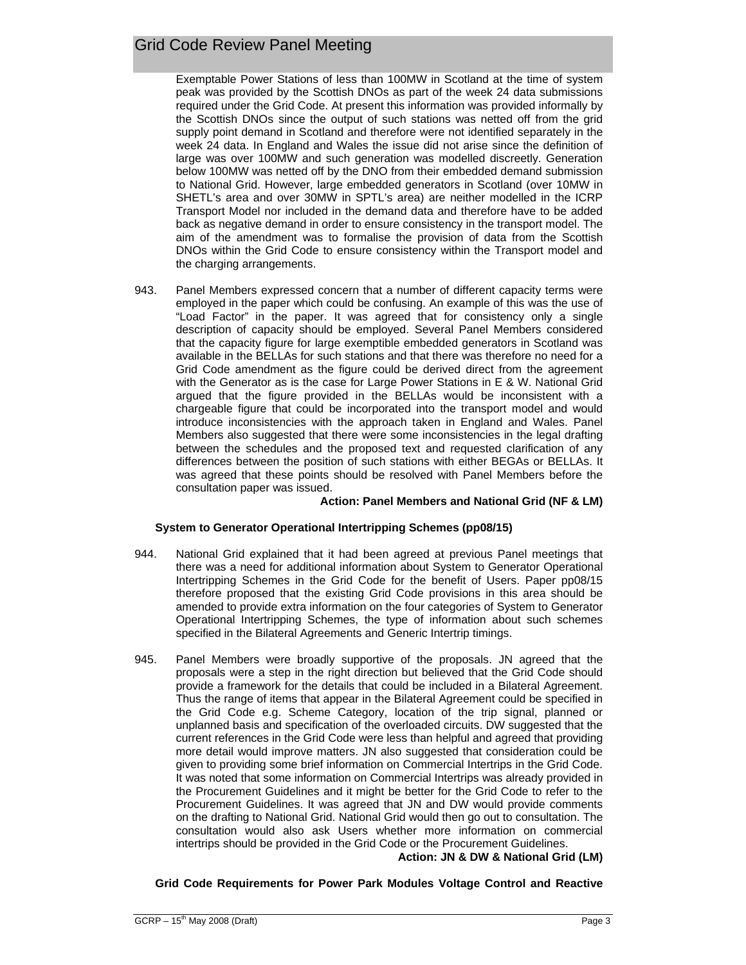Exemptable Power Stations of less than 100MW in Scotland at the time of system peak was provided by the Scottish DNOs as part of the week 24 data submissions required under the Grid Code. At present this information was provided informally by the Scottish DNOs since the output of such stations was netted off from the grid supply point demand in Scotland and therefore were not identified separately in the week 24 data. In England and Wales the issue did not arise since the definition of large was over 100MW and such generation was modelled discreetly. Generation below 100MW was netted off by the DNO from their embedded demand submission to National Grid. However, large embedded generators in Scotland (over 10MW in SHETL's area and over 30MW in SPTL's area) are neither modelled in the ICRP Transport Model nor included in the demand data and therefore have to be added back as negative demand in order to ensure consistency in the transport model. The aim of the amendment was to formalise the provision of data from the Scottish DNOs within the Grid Code to ensure consistency within the Transport model and the charging arrangements.

943. Panel Members expressed concern that a number of different capacity terms were employed in the paper which could be confusing. An example of this was the use of "Load Factor" in the paper. It was agreed that for consistency only a single description of capacity should be employed. Several Panel Members considered that the capacity figure for large exemptible embedded generators in Scotland was available in the BELLAs for such stations and that there was therefore no need for a Grid Code amendment as the figure could be derived direct from the agreement with the Generator as is the case for Large Power Stations in E & W. National Grid argued that the figure provided in the BELLAs would be inconsistent with a chargeable figure that could be incorporated into the transport model and would introduce inconsistencies with the approach taken in England and Wales. Panel Members also suggested that there were some inconsistencies in the legal drafting between the schedules and the proposed text and requested clarification of any differences between the position of such stations with either BEGAs or BELLAs. It was agreed that these points should be resolved with Panel Members before the consultation paper was issued.

#### **Action: Panel Members and National Grid (NF & LM)**

## **System to Generator Operational Intertripping Schemes (pp08/15)**

- 944. National Grid explained that it had been agreed at previous Panel meetings that there was a need for additional information about System to Generator Operational Intertripping Schemes in the Grid Code for the benefit of Users. Paper pp08/15 therefore proposed that the existing Grid Code provisions in this area should be amended to provide extra information on the four categories of System to Generator Operational Intertripping Schemes, the type of information about such schemes specified in the Bilateral Agreements and Generic Intertrip timings.
- 945. Panel Members were broadly supportive of the proposals. JN agreed that the proposals were a step in the right direction but believed that the Grid Code should provide a framework for the details that could be included in a Bilateral Agreement. Thus the range of items that appear in the Bilateral Agreement could be specified in the Grid Code e.g. Scheme Category, location of the trip signal, planned or unplanned basis and specification of the overloaded circuits. DW suggested that the current references in the Grid Code were less than helpful and agreed that providing more detail would improve matters. JN also suggested that consideration could be given to providing some brief information on Commercial Intertrips in the Grid Code. It was noted that some information on Commercial Intertrips was already provided in the Procurement Guidelines and it might be better for the Grid Code to refer to the Procurement Guidelines. It was agreed that JN and DW would provide comments on the drafting to National Grid. National Grid would then go out to consultation. The consultation would also ask Users whether more information on commercial intertrips should be provided in the Grid Code or the Procurement Guidelines. **Action: JN & DW & National Grid (LM)**

## **Grid Code Requirements for Power Park Modules Voltage Control and Reactive**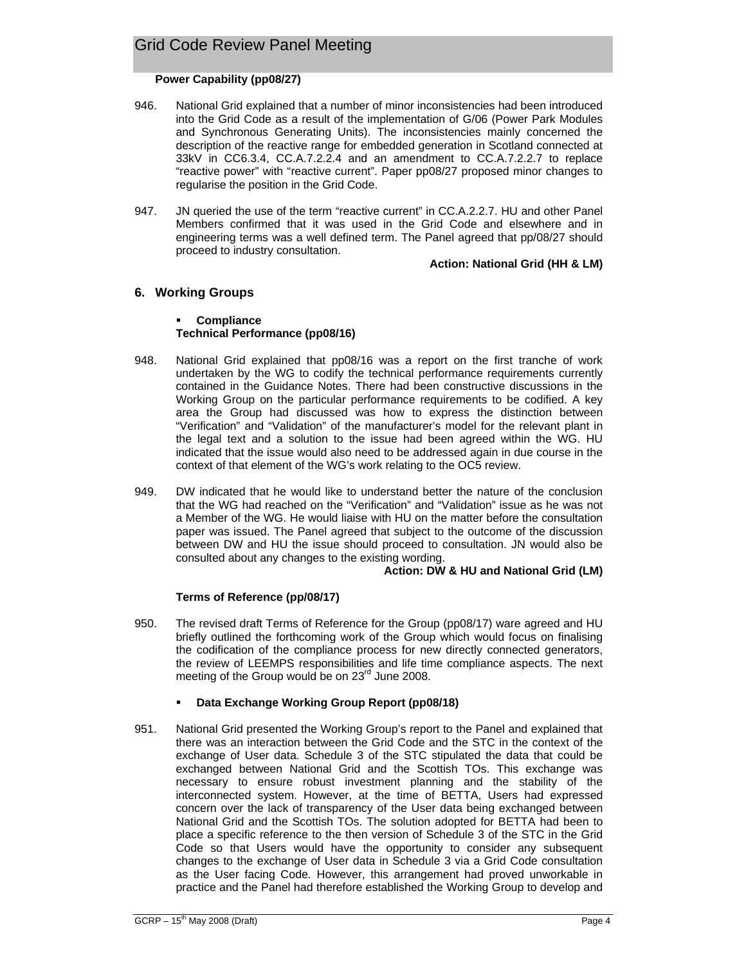## **Power Capability (pp08/27)**

- 946. National Grid explained that a number of minor inconsistencies had been introduced into the Grid Code as a result of the implementation of G/06 (Power Park Modules and Synchronous Generating Units). The inconsistencies mainly concerned the description of the reactive range for embedded generation in Scotland connected at 33kV in CC6.3.4, CC.A.7.2.2.4 and an amendment to CC.A.7.2.2.7 to replace "reactive power" with "reactive current". Paper pp08/27 proposed minor changes to regularise the position in the Grid Code.
- 947. JN queried the use of the term "reactive current" in CC.A.2.2.7. HU and other Panel Members confirmed that it was used in the Grid Code and elsewhere and in engineering terms was a well defined term. The Panel agreed that pp/08/27 should proceed to industry consultation.

### **Action: National Grid (HH & LM)**

## **6. Working Groups**

### **Compliance Technical Performance (pp08/16)**

- 948. National Grid explained that pp08/16 was a report on the first tranche of work undertaken by the WG to codify the technical performance requirements currently contained in the Guidance Notes. There had been constructive discussions in the Working Group on the particular performance requirements to be codified. A key area the Group had discussed was how to express the distinction between "Verification" and "Validation" of the manufacturer's model for the relevant plant in the legal text and a solution to the issue had been agreed within the WG. HU indicated that the issue would also need to be addressed again in due course in the context of that element of the WG's work relating to the OC5 review.
- 949. DW indicated that he would like to understand better the nature of the conclusion that the WG had reached on the "Verification" and "Validation" issue as he was not a Member of the WG. He would liaise with HU on the matter before the consultation paper was issued. The Panel agreed that subject to the outcome of the discussion between DW and HU the issue should proceed to consultation. JN would also be consulted about any changes to the existing wording.

#### **Action: DW & HU and National Grid (LM)**

## **Terms of Reference (pp/08/17)**

950. The revised draft Terms of Reference for the Group (pp08/17) ware agreed and HU briefly outlined the forthcoming work of the Group which would focus on finalising the codification of the compliance process for new directly connected generators, the review of LEEMPS responsibilities and life time compliance aspects. The next meeting of the Group would be on 23<sup>rd</sup> June 2008.

## **Data Exchange Working Group Report (pp08/18)**

951. National Grid presented the Working Group's report to the Panel and explained that there was an interaction between the Grid Code and the STC in the context of the exchange of User data. Schedule 3 of the STC stipulated the data that could be exchanged between National Grid and the Scottish TOs. This exchange was necessary to ensure robust investment planning and the stability of the interconnected system. However, at the time of BETTA, Users had expressed concern over the lack of transparency of the User data being exchanged between National Grid and the Scottish TOs. The solution adopted for BETTA had been to place a specific reference to the then version of Schedule 3 of the STC in the Grid Code so that Users would have the opportunity to consider any subsequent changes to the exchange of User data in Schedule 3 via a Grid Code consultation as the User facing Code. However, this arrangement had proved unworkable in practice and the Panel had therefore established the Working Group to develop and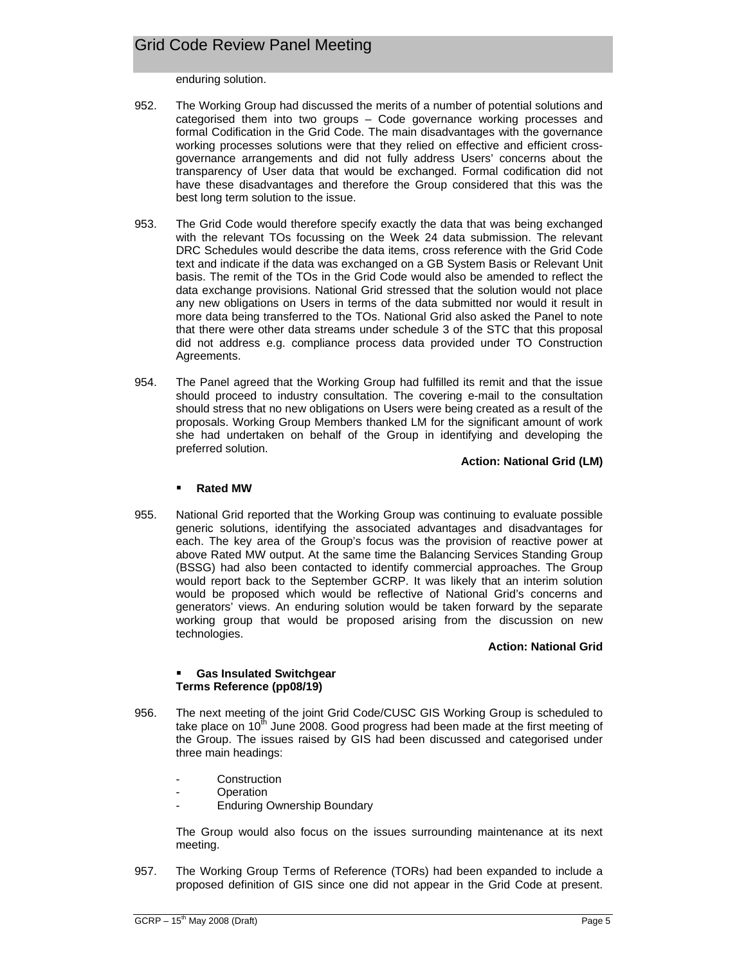enduring solution.

- 952. The Working Group had discussed the merits of a number of potential solutions and categorised them into two groups – Code governance working processes and formal Codification in the Grid Code. The main disadvantages with the governance working processes solutions were that they relied on effective and efficient crossgovernance arrangements and did not fully address Users' concerns about the transparency of User data that would be exchanged. Formal codification did not have these disadvantages and therefore the Group considered that this was the best long term solution to the issue.
- 953. The Grid Code would therefore specify exactly the data that was being exchanged with the relevant TOs focussing on the Week 24 data submission. The relevant DRC Schedules would describe the data items, cross reference with the Grid Code text and indicate if the data was exchanged on a GB System Basis or Relevant Unit basis. The remit of the TOs in the Grid Code would also be amended to reflect the data exchange provisions. National Grid stressed that the solution would not place any new obligations on Users in terms of the data submitted nor would it result in more data being transferred to the TOs. National Grid also asked the Panel to note that there were other data streams under schedule 3 of the STC that this proposal did not address e.g. compliance process data provided under TO Construction Agreements.
- 954. The Panel agreed that the Working Group had fulfilled its remit and that the issue should proceed to industry consultation. The covering e-mail to the consultation should stress that no new obligations on Users were being created as a result of the proposals. Working Group Members thanked LM for the significant amount of work she had undertaken on behalf of the Group in identifying and developing the preferred solution.

**Action: National Grid (LM)**

#### **Rated MW**

955. National Grid reported that the Working Group was continuing to evaluate possible generic solutions, identifying the associated advantages and disadvantages for each. The key area of the Group's focus was the provision of reactive power at above Rated MW output. At the same time the Balancing Services Standing Group (BSSG) had also been contacted to identify commercial approaches. The Group would report back to the September GCRP. It was likely that an interim solution would be proposed which would be reflective of National Grid's concerns and generators' views. An enduring solution would be taken forward by the separate working group that would be proposed arising from the discussion on new technologies.

#### **Action: National Grid**

#### **Gas Insulated Switchgear Terms Reference (pp08/19)**

- 956. The next meeting of the joint Grid Code/CUSC GIS Working Group is scheduled to take place on  $10<sup>th</sup>$  June 2008. Good progress had been made at the first meeting of the Group. The issues raised by GIS had been discussed and categorised under three main headings:
	- **Construction**
	- **Operation**
	- **Enduring Ownership Boundary**

The Group would also focus on the issues surrounding maintenance at its next meeting.

957. The Working Group Terms of Reference (TORs) had been expanded to include a proposed definition of GIS since one did not appear in the Grid Code at present.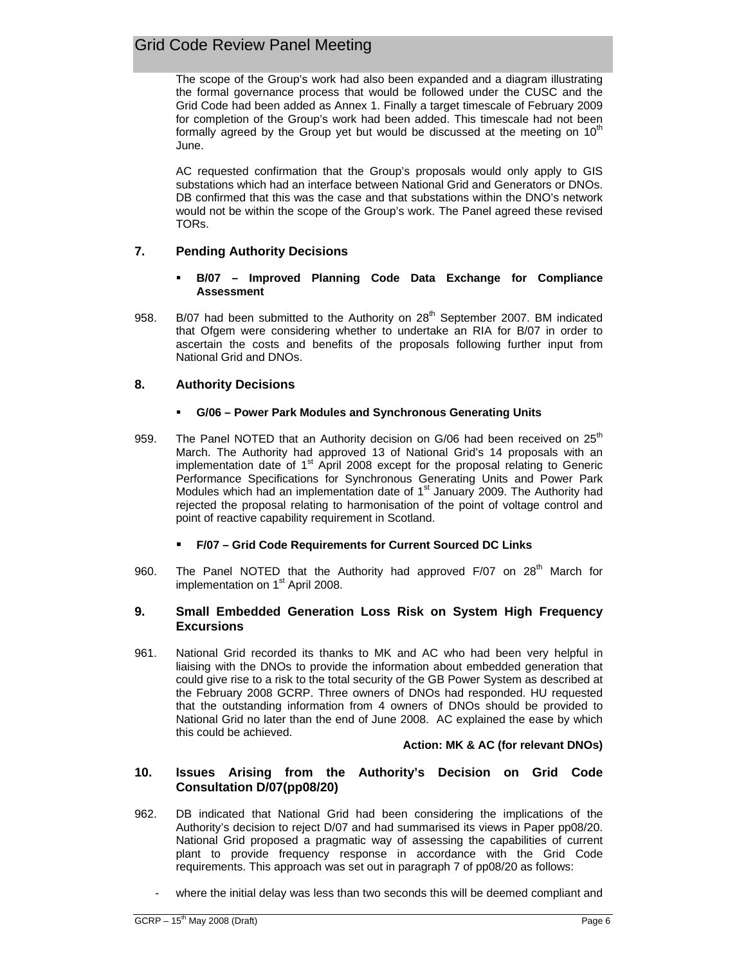The scope of the Group's work had also been expanded and a diagram illustrating the formal governance process that would be followed under the CUSC and the Grid Code had been added as Annex 1. Finally a target timescale of February 2009 for completion of the Group's work had been added. This timescale had not been formally agreed by the Group yet but would be discussed at the meeting on  $10<sup>th</sup>$ June.

AC requested confirmation that the Group's proposals would only apply to GIS substations which had an interface between National Grid and Generators or DNOs. DB confirmed that this was the case and that substations within the DNO's network would not be within the scope of the Group's work. The Panel agreed these revised TORs.

# **7. Pending Authority Decisions**

### **B/07 – Improved Planning Code Data Exchange for Compliance Assessment**

958. B/07 had been submitted to the Authority on 28<sup>th</sup> September 2007. BM indicated that Ofgem were considering whether to undertake an RIA for B/07 in order to ascertain the costs and benefits of the proposals following further input from National Grid and DNOs.

# **8. Authority Decisions**

# **G/06 – Power Park Modules and Synchronous Generating Units**

- 959. The Panel NOTED that an Authority decision on  $G/06$  had been received on  $25<sup>th</sup>$ March. The Authority had approved 13 of National Grid's 14 proposals with an implementation date of  $1<sup>st</sup>$  April 2008 except for the proposal relating to Generic Performance Specifications for Synchronous Generating Units and Power Park Modules which had an implementation date of  $1<sup>st</sup>$  January 2009. The Authority had rejected the proposal relating to harmonisation of the point of voltage control and point of reactive capability requirement in Scotland.
	- **F/07 Grid Code Requirements for Current Sourced DC Links**
- 960. The Panel NOTED that the Authority had approved  $F/07$  on 28<sup>th</sup> March for implementation on 1<sup>st</sup> April 2008.

## **9. Small Embedded Generation Loss Risk on System High Frequency Excursions**

961. National Grid recorded its thanks to MK and AC who had been very helpful in liaising with the DNOs to provide the information about embedded generation that could give rise to a risk to the total security of the GB Power System as described at the February 2008 GCRP. Three owners of DNOs had responded. HU requested that the outstanding information from 4 owners of DNOs should be provided to National Grid no later than the end of June 2008. AC explained the ease by which this could be achieved.

## **Action: MK & AC (for relevant DNOs)**

## **10. Issues Arising from the Authority's Decision on Grid Code Consultation D/07(pp08/20)**

- 962. DB indicated that National Grid had been considering the implications of the Authority's decision to reject D/07 and had summarised its views in Paper pp08/20. National Grid proposed a pragmatic way of assessing the capabilities of current plant to provide frequency response in accordance with the Grid Code requirements. This approach was set out in paragraph 7 of pp08/20 as follows:
	- where the initial delay was less than two seconds this will be deemed compliant and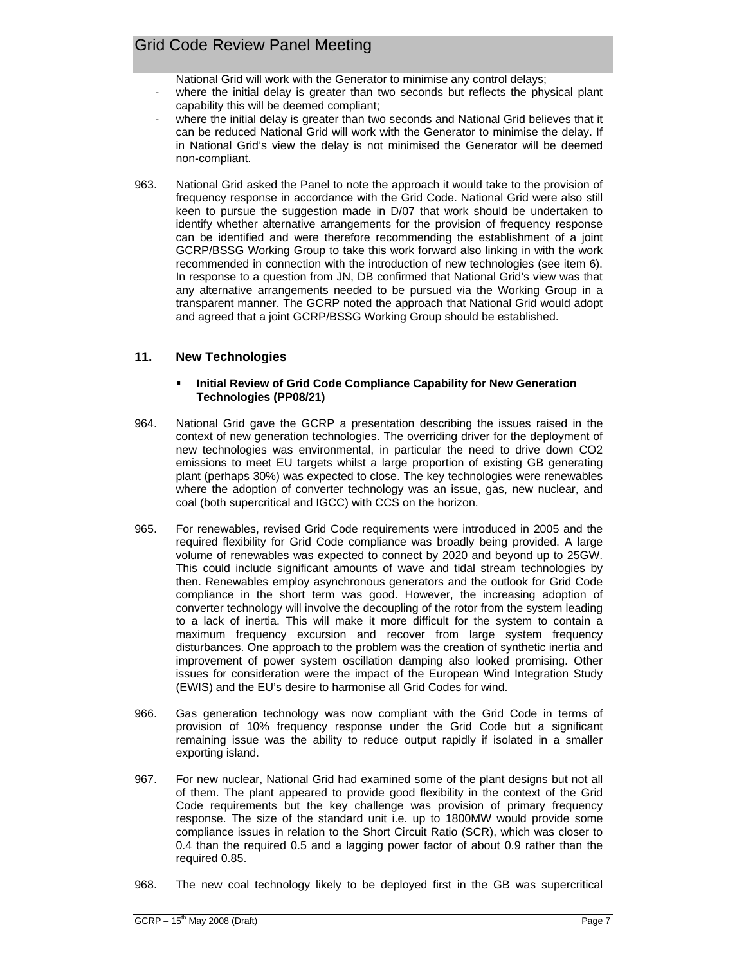National Grid will work with the Generator to minimise any control delays;

- where the initial delay is greater than two seconds but reflects the physical plant capability this will be deemed compliant;
- where the initial delay is greater than two seconds and National Grid believes that it can be reduced National Grid will work with the Generator to minimise the delay. If in National Grid's view the delay is not minimised the Generator will be deemed non-compliant.
- 963. National Grid asked the Panel to note the approach it would take to the provision of frequency response in accordance with the Grid Code. National Grid were also still keen to pursue the suggestion made in D/07 that work should be undertaken to identify whether alternative arrangements for the provision of frequency response can be identified and were therefore recommending the establishment of a joint GCRP/BSSG Working Group to take this work forward also linking in with the work recommended in connection with the introduction of new technologies (see item 6). In response to a question from JN, DB confirmed that National Grid's view was that any alternative arrangements needed to be pursued via the Working Group in a transparent manner. The GCRP noted the approach that National Grid would adopt and agreed that a joint GCRP/BSSG Working Group should be established.

# **11. New Technologies**

### **Initial Review of Grid Code Compliance Capability for New Generation Technologies (PP08/21)**

- 964. National Grid gave the GCRP a presentation describing the issues raised in the context of new generation technologies. The overriding driver for the deployment of new technologies was environmental, in particular the need to drive down CO2 emissions to meet EU targets whilst a large proportion of existing GB generating plant (perhaps 30%) was expected to close. The key technologies were renewables where the adoption of converter technology was an issue, gas, new nuclear, and coal (both supercritical and IGCC) with CCS on the horizon.
- 965. For renewables, revised Grid Code requirements were introduced in 2005 and the required flexibility for Grid Code compliance was broadly being provided. A large volume of renewables was expected to connect by 2020 and beyond up to 25GW. This could include significant amounts of wave and tidal stream technologies by then. Renewables employ asynchronous generators and the outlook for Grid Code compliance in the short term was good. However, the increasing adoption of converter technology will involve the decoupling of the rotor from the system leading to a lack of inertia. This will make it more difficult for the system to contain a maximum frequency excursion and recover from large system frequency disturbances. One approach to the problem was the creation of synthetic inertia and improvement of power system oscillation damping also looked promising. Other issues for consideration were the impact of the European Wind Integration Study (EWIS) and the EU's desire to harmonise all Grid Codes for wind.
- 966. Gas generation technology was now compliant with the Grid Code in terms of provision of 10% frequency response under the Grid Code but a significant remaining issue was the ability to reduce output rapidly if isolated in a smaller exporting island.
- 967. For new nuclear, National Grid had examined some of the plant designs but not all of them. The plant appeared to provide good flexibility in the context of the Grid Code requirements but the key challenge was provision of primary frequency response. The size of the standard unit i.e. up to 1800MW would provide some compliance issues in relation to the Short Circuit Ratio (SCR), which was closer to 0.4 than the required 0.5 and a lagging power factor of about 0.9 rather than the required 0.85.
- 968. The new coal technology likely to be deployed first in the GB was supercritical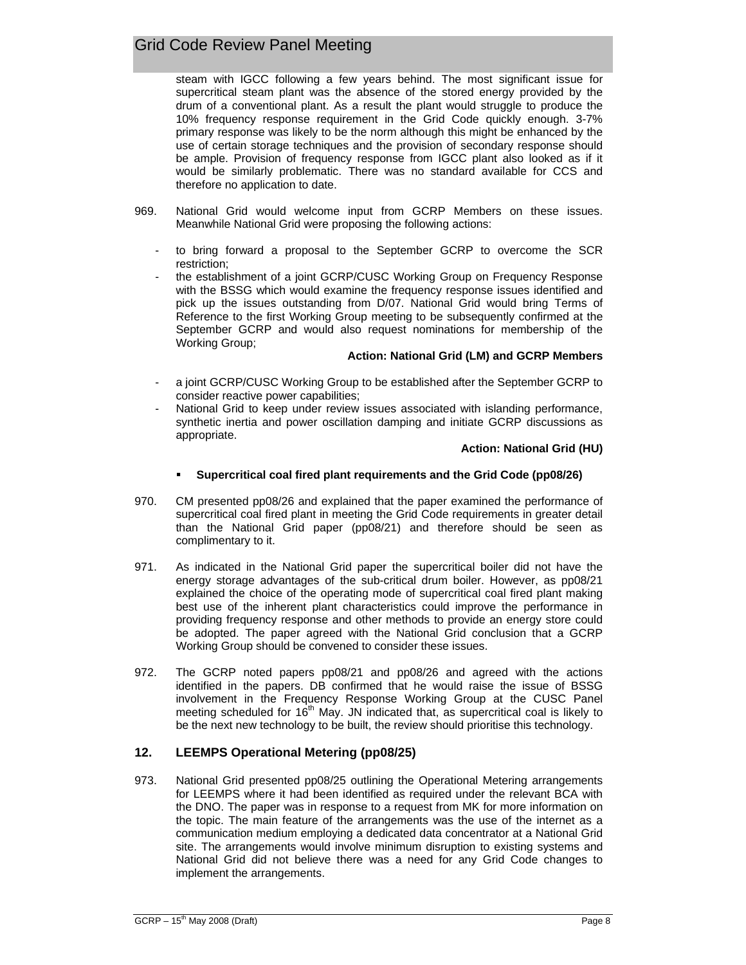steam with IGCC following a few years behind. The most significant issue for supercritical steam plant was the absence of the stored energy provided by the drum of a conventional plant. As a result the plant would struggle to produce the 10% frequency response requirement in the Grid Code quickly enough. 3-7% primary response was likely to be the norm although this might be enhanced by the use of certain storage techniques and the provision of secondary response should be ample. Provision of frequency response from IGCC plant also looked as if it would be similarly problematic. There was no standard available for CCS and therefore no application to date.

- 969. National Grid would welcome input from GCRP Members on these issues. Meanwhile National Grid were proposing the following actions:
	- to bring forward a proposal to the September GCRP to overcome the SCR restriction;
	- the establishment of a joint GCRP/CUSC Working Group on Frequency Response with the BSSG which would examine the frequency response issues identified and pick up the issues outstanding from D/07. National Grid would bring Terms of Reference to the first Working Group meeting to be subsequently confirmed at the September GCRP and would also request nominations for membership of the Working Group;

### **Action: National Grid (LM) and GCRP Members**

- a joint GCRP/CUSC Working Group to be established after the September GCRP to consider reactive power capabilities;
- National Grid to keep under review issues associated with islanding performance, synthetic inertia and power oscillation damping and initiate GCRP discussions as appropriate.

### **Action: National Grid (HU)**

- **Supercritical coal fired plant requirements and the Grid Code (pp08/26)**
- 970. CM presented pp08/26 and explained that the paper examined the performance of supercritical coal fired plant in meeting the Grid Code requirements in greater detail than the National Grid paper (pp08/21) and therefore should be seen as complimentary to it.
- 971. As indicated in the National Grid paper the supercritical boiler did not have the energy storage advantages of the sub-critical drum boiler. However, as pp08/21 explained the choice of the operating mode of supercritical coal fired plant making best use of the inherent plant characteristics could improve the performance in providing frequency response and other methods to provide an energy store could be adopted. The paper agreed with the National Grid conclusion that a GCRP Working Group should be convened to consider these issues.
- 972. The GCRP noted papers pp08/21 and pp08/26 and agreed with the actions identified in the papers. DB confirmed that he would raise the issue of BSSG involvement in the Frequency Response Working Group at the CUSC Panel meeting scheduled for  $16<sup>th</sup>$  May. JN indicated that, as supercritical coal is likely to be the next new technology to be built, the review should prioritise this technology.

# **12. LEEMPS Operational Metering (pp08/25)**

973. National Grid presented pp08/25 outlining the Operational Metering arrangements for LEEMPS where it had been identified as required under the relevant BCA with the DNO. The paper was in response to a request from MK for more information on the topic. The main feature of the arrangements was the use of the internet as a communication medium employing a dedicated data concentrator at a National Grid site. The arrangements would involve minimum disruption to existing systems and National Grid did not believe there was a need for any Grid Code changes to implement the arrangements.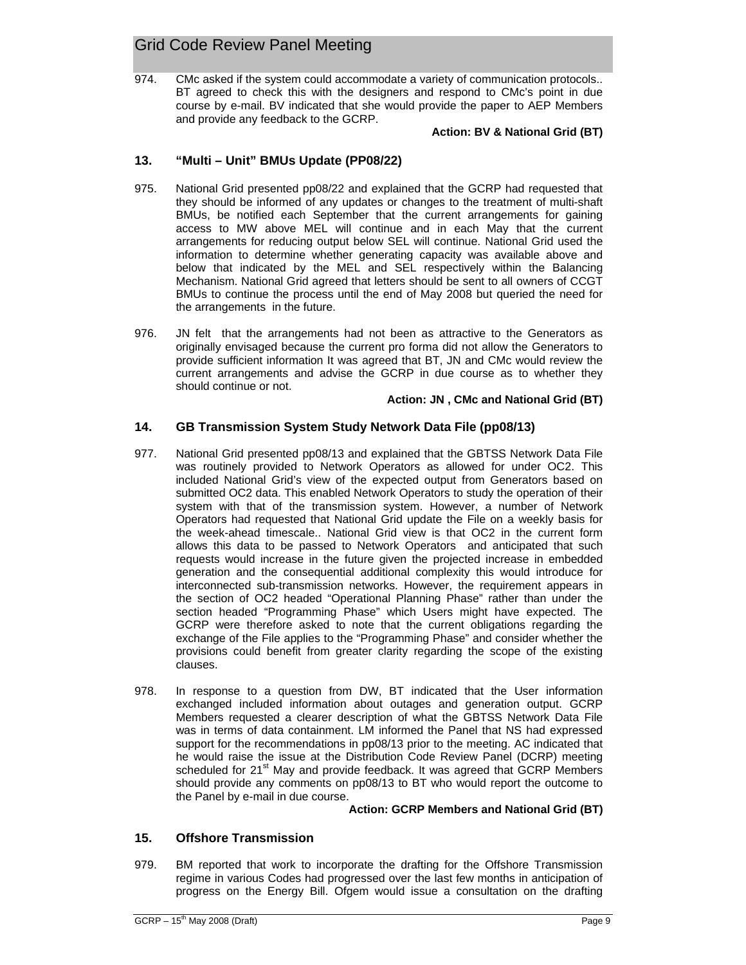974. CMc asked if the system could accommodate a variety of communication protocols.. BT agreed to check this with the designers and respond to CMc's point in due course by e-mail. BV indicated that she would provide the paper to AEP Members and provide any feedback to the GCRP.

**Action: BV & National Grid (BT)**

# **13. "Multi – Unit" BMUs Update (PP08/22)**

- 975. National Grid presented pp08/22 and explained that the GCRP had requested that they should be informed of any updates or changes to the treatment of multi-shaft BMUs, be notified each September that the current arrangements for gaining access to MW above MEL will continue and in each May that the current arrangements for reducing output below SEL will continue. National Grid used the information to determine whether generating capacity was available above and below that indicated by the MEL and SEL respectively within the Balancing Mechanism. National Grid agreed that letters should be sent to all owners of CCGT BMUs to continue the process until the end of May 2008 but queried the need for the arrangements in the future.
- 976. JN felt that the arrangements had not been as attractive to the Generators as originally envisaged because the current pro forma did not allow the Generators to provide sufficient information It was agreed that BT, JN and CMc would review the current arrangements and advise the GCRP in due course as to whether they should continue or not.

## **Action: JN , CMc and National Grid (BT)**

# **14. GB Transmission System Study Network Data File (pp08/13)**

- 977. National Grid presented pp08/13 and explained that the GBTSS Network Data File was routinely provided to Network Operators as allowed for under OC2. This included National Grid's view of the expected output from Generators based on submitted OC2 data. This enabled Network Operators to study the operation of their system with that of the transmission system. However, a number of Network Operators had requested that National Grid update the File on a weekly basis for the week-ahead timescale.. National Grid view is that OC2 in the current form allows this data to be passed to Network Operators and anticipated that such requests would increase in the future given the projected increase in embedded generation and the consequential additional complexity this would introduce for interconnected sub-transmission networks. However, the requirement appears in the section of OC2 headed "Operational Planning Phase" rather than under the section headed "Programming Phase" which Users might have expected. The GCRP were therefore asked to note that the current obligations regarding the exchange of the File applies to the "Programming Phase" and consider whether the provisions could benefit from greater clarity regarding the scope of the existing clauses.
- 978. In response to a question from DW, BT indicated that the User information exchanged included information about outages and generation output. GCRP Members requested a clearer description of what the GBTSS Network Data File was in terms of data containment. LM informed the Panel that NS had expressed support for the recommendations in pp08/13 prior to the meeting. AC indicated that he would raise the issue at the Distribution Code Review Panel (DCRP) meeting scheduled for 21<sup>st</sup> May and provide feedback. It was agreed that GCRP Members should provide any comments on pp08/13 to BT who would report the outcome to the Panel by e-mail in due course.

## **Action: GCRP Members and National Grid (BT)**

# **15. Offshore Transmission**

979. BM reported that work to incorporate the drafting for the Offshore Transmission regime in various Codes had progressed over the last few months in anticipation of progress on the Energy Bill. Ofgem would issue a consultation on the drafting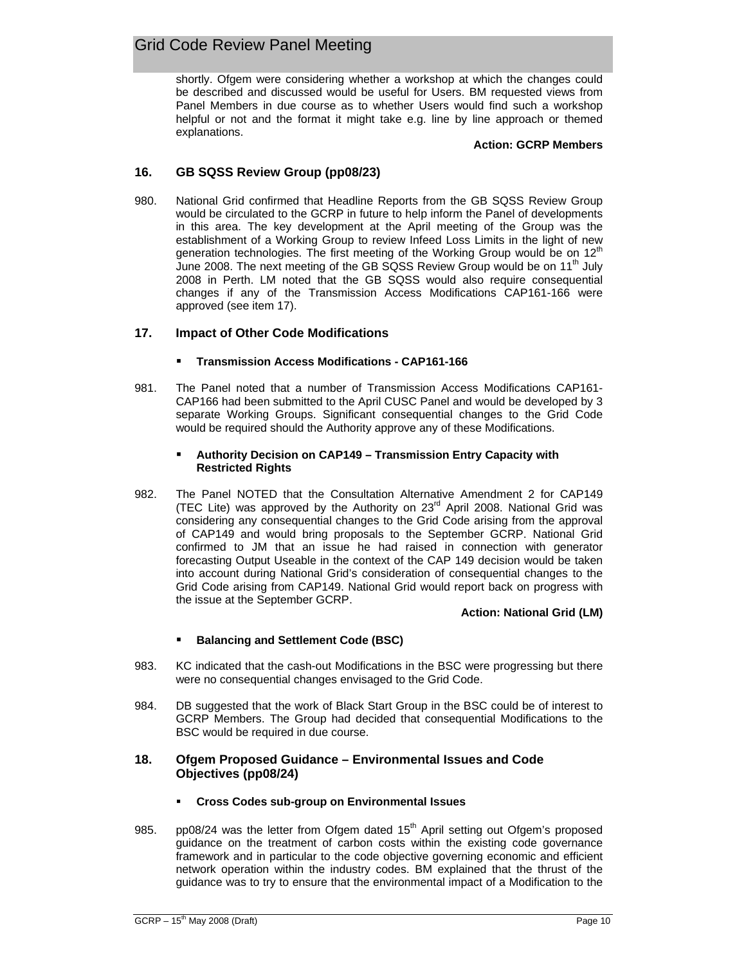shortly. Ofgem were considering whether a workshop at which the changes could be described and discussed would be useful for Users. BM requested views from Panel Members in due course as to whether Users would find such a workshop helpful or not and the format it might take e.g. line by line approach or themed explanations.

### **Action: GCRP Members**

# **16. GB SQSS Review Group (pp08/23)**

980. National Grid confirmed that Headline Reports from the GB SQSS Review Group would be circulated to the GCRP in future to help inform the Panel of developments in this area. The key development at the April meeting of the Group was the establishment of a Working Group to review Infeed Loss Limits in the light of new generation technologies. The first meeting of the Working Group would be on  $12<sup>th</sup>$ June 2008. The next meeting of the GB SQSS Review Group would be on  $11<sup>th</sup>$  July 2008 in Perth. LM noted that the GB SQSS would also require consequential changes if any of the Transmission Access Modifications CAP161-166 were approved (see item 17).

## **17. Impact of Other Code Modifications**

## **Transmission Access Modifications - CAP161-166**

981. The Panel noted that a number of Transmission Access Modifications CAP161- CAP166 had been submitted to the April CUSC Panel and would be developed by 3 separate Working Groups. Significant consequential changes to the Grid Code would be required should the Authority approve any of these Modifications.

### **Authority Decision on CAP149 – Transmission Entry Capacity with Restricted Rights**

982. The Panel NOTED that the Consultation Alternative Amendment 2 for CAP149 (TEC Lite) was approved by the Authority on  $23<sup>rd</sup>$  April 2008. National Grid was considering any consequential changes to the Grid Code arising from the approval of CAP149 and would bring proposals to the September GCRP. National Grid confirmed to JM that an issue he had raised in connection with generator forecasting Output Useable in the context of the CAP 149 decision would be taken into account during National Grid's consideration of consequential changes to the Grid Code arising from CAP149. National Grid would report back on progress with the issue at the September GCRP.

#### **Action: National Grid (LM)**

## **Balancing and Settlement Code (BSC)**

- 983. KC indicated that the cash-out Modifications in the BSC were progressing but there were no consequential changes envisaged to the Grid Code.
- 984. DB suggested that the work of Black Start Group in the BSC could be of interest to GCRP Members. The Group had decided that consequential Modifications to the BSC would be required in due course.

## **18. Ofgem Proposed Guidance – Environmental Issues and Code Objectives (pp08/24)**

- **Cross Codes sub-group on Environmental Issues**
- 985. pp08/24 was the letter from Ofgem dated  $15<sup>th</sup>$  April setting out Ofgem's proposed guidance on the treatment of carbon costs within the existing code governance framework and in particular to the code objective governing economic and efficient network operation within the industry codes. BM explained that the thrust of the guidance was to try to ensure that the environmental impact of a Modification to the